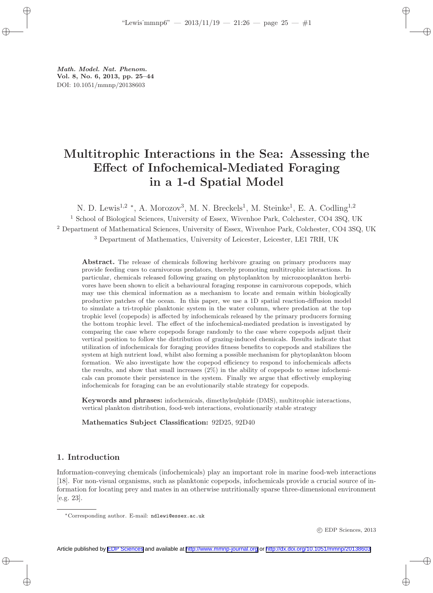Math. Model. Nat. Phenom. Vol. 8, No. 6, 2013, pp. 25–44 DOI: 10.1051/mmnp/20138603

# Multitrophic Interactions in the Sea: Assessing the Effect of Infochemical-Mediated Foraging in a 1-d Spatial Model

N. D. Lewis<sup>1,2</sup> \*, A. Morozov<sup>3</sup>, M. N. Breckels<sup>1</sup>, M. Steinke<sup>1</sup>, E. A. Codling<sup>1,2</sup> <sup>1</sup> School of Biological Sciences, University of Essex, Wivenhoe Park, Colchester, CO4 3SQ, UK <sup>2</sup> Department of Mathematical Sciences, University of Essex, Wivenhoe Park, Colchester, CO4 3SQ, UK

<sup>3</sup> Department of Mathematics, University of Leicester, Leicester, LE1 7RH, UK

Abstract. The release of chemicals following herbivore grazing on primary producers may provide feeding cues to carnivorous predators, thereby promoting multitrophic interactions. In particular, chemicals released following grazing on phytoplankton by microzooplankton herbivores have been shown to elicit a behavioural foraging response in carnivorous copepods, which may use this chemical information as a mechanism to locate and remain within biologically productive patches of the ocean. In this paper, we use a 1D spatial reaction-diffusion model to simulate a tri-trophic planktonic system in the water column, where predation at the top trophic level (copepods) is affected by infochemicals released by the primary producers forming the bottom trophic level. The effect of the infochemical-mediated predation is investigated by comparing the case where copepods forage randomly to the case where copepods adjust their vertical position to follow the distribution of grazing-induced chemicals. Results indicate that utilization of infochemicals for foraging provides fitness benefits to copepods and stabilizes the system at high nutrient load, whilst also forming a possible mechanism for phytoplankton bloom formation. We also investigate how the copepod efficiency to respond to infochemicals affects the results, and show that small increases (2%) in the ability of copepods to sense infochemicals can promote their persistence in the system. Finally we argue that effectively employing infochemicals for foraging can be an evolutionarily stable strategy for copepods.

Keywords and phrases: infochemicals, dimethylsulphide (DMS), multitrophic interactions, vertical plankton distribution, food-web interactions, evolutionarily stable strategy

Mathematics Subject Classification: 92D25, 92D40

# 1. Introduction

Information-conveying chemicals (infochemicals) play an important role in marine food-web interactions [18]. For non-visual organisms, such as planktonic copepods, infochemicals provide a crucial source of information for locating prey and mates in an otherwise nutritionally sparse three-dimensional environment [e.g. 23].

c EDP Sciences, 2013

<sup>∗</sup>Corresponding author. E-mail: ndlewi@essex.ac.uk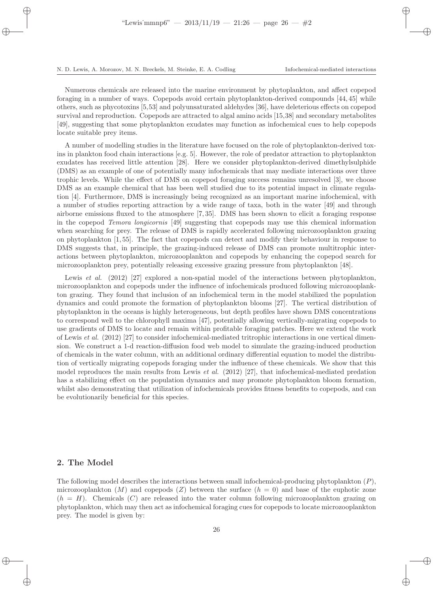Numerous chemicals are released into the marine environment by phytoplankton, and affect copepod foraging in a number of ways. Copepods avoid certain phytoplankton-derived compounds [44, 45] while others, such as phycotoxins [5,53] and polyunsaturated aldehydes [36], have deleterious effects on copepod survival and reproduction. Copepods are attracted to algal amino acids [15,38] and secondary metabolites [49], suggesting that some phytoplankton exudates may function as infochemical cues to help copepods locate suitable prey items.

A number of modelling studies in the literature have focused on the role of phytoplankton-derived toxins in plankton food chain interactions [e.g. 5]. However, the role of predator attraction to phytoplankton exudates has received little attention [28]. Here we consider phytoplankton-derived dimethylsulphide (DMS) as an example of one of potentially many infochemicals that may mediate interactions over three trophic levels. While the effect of DMS on copepod foraging success remains unresolved [3], we choose DMS as an example chemical that has been well studied due to its potential impact in climate regulation [4]. Furthermore, DMS is increasingly being recognized as an important marine infochemical, with a number of studies reporting attraction by a wide range of taxa, both in the water [49] and through airborne emissions fluxed to the atmosphere [7, 35]. DMS has been shown to elicit a foraging response in the copepod Temora longicornis [49] suggesting that copepods may use this chemical information when searching for prey. The release of DMS is rapidly accelerated following microzooplankton grazing on phytoplankton [1, 55]. The fact that copepods can detect and modify their behaviour in response to DMS suggests that, in principle, the grazing-induced release of DMS can promote multitrophic interactions between phytoplankton, microzooplankton and copepods by enhancing the copepod search for microzooplankton prey, potentially releasing excessive grazing pressure from phytoplankton [48].

Lewis et al. (2012) [27] explored a non-spatial model of the interactions between phytoplankton, microzooplankton and copepods under the influence of infochemicals produced following microzooplankton grazing. They found that inclusion of an infochemical term in the model stabilized the population dynamics and could promote the formation of phytoplankton blooms [27]. The vertical distribution of phytoplankton in the oceans is highly heterogeneous, but depth profiles have shown DMS concentrations to correspond well to the chlorophyll maxima [47], potentially allowing vertically-migrating copepods to use gradients of DMS to locate and remain within profitable foraging patches. Here we extend the work of Lewis et al. (2012) [27] to consider infochemical-mediated tritrophic interactions in one vertical dimension. We construct a 1-d reaction-diffusion food web model to simulate the grazing-induced production of chemicals in the water column, with an additional ordinary differential equation to model the distribution of vertically migrating copepods foraging under the influence of these chemicals. We show that this model reproduces the main results from Lewis *et al.* (2012) [27], that infochemical-mediated predation has a stabilizing effect on the population dynamics and may promote phytoplankton bloom formation, whilst also demonstrating that utilization of infochemicals provides fitness benefits to copepods, and can be evolutionarily beneficial for this species.

## 2. The Model

The following model describes the interactions between small infochemical-producing phytoplankton  $(P)$ , microzooplankton  $(M)$  and copepods  $(Z)$  between the surface  $(h = 0)$  and base of the euphotic zone  $(h = H)$ . Chemicals  $(C)$  are released into the water column following microzooplankton grazing on phytoplankton, which may then act as infochemical foraging cues for copepods to locate microzooplankton prey. The model is given by: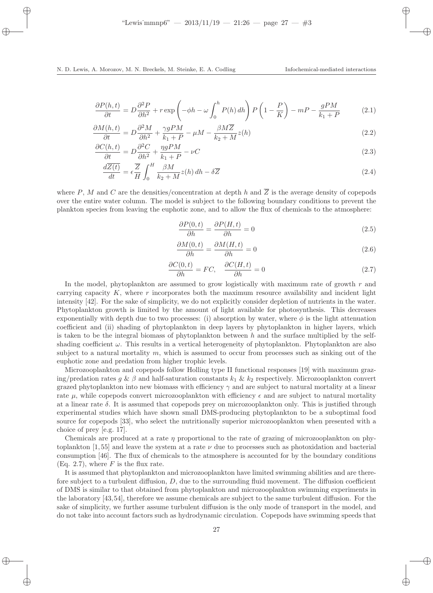$$
\frac{\partial P(h,t)}{\partial t} = D \frac{\partial^2 P}{\partial h^2} + r \exp \left( -\phi h - \omega \int_0^h P(h) \, dh \right) P\left( 1 - \frac{P}{K} \right) - mP - \frac{gPM}{k_1 + P} \tag{2.1}
$$

$$
\frac{\partial M(h,t)}{\partial t} = D \frac{\partial^2 M}{\partial h^2} + \frac{\gamma g P M}{k_1 + P} - \mu M - \frac{\beta M \overline{Z}}{k_2 + M} z(h) \tag{2.2}
$$

$$
\frac{\partial C(h,t)}{\partial t} = D \frac{\partial^2 C}{\partial h^2} + \frac{\eta gPM}{k_1 + P} - \nu C \tag{2.3}
$$

$$
\frac{d\overline{Z(t)}}{dt} = \epsilon \frac{\overline{Z}}{H} \int_0^H \frac{\beta M}{k_2 + M} z(h) \, dh - \delta \overline{Z}
$$
\n(2.4)

where P, M and C are the densities/concentration at depth h and  $\overline{Z}$  is the average density of copepods over the entire water column. The model is subject to the following boundary conditions to prevent the plankton species from leaving the euphotic zone, and to allow the flux of chemicals to the atmosphere:

$$
\frac{\partial P(0,t)}{\partial h} = \frac{\partial P(H,t)}{\partial h} = 0
$$
\n(2.5)

$$
\frac{\partial M(0,t)}{\partial h} = \frac{\partial M(H,t)}{\partial h} = 0
$$
\n(2.6)

$$
\frac{\partial C(0,t)}{\partial h} = FC, \quad \frac{\partial C(H,t)}{\partial h} = 0 \tag{2.7}
$$

In the model, phytoplankton are assumed to grow logistically with maximum rate of growth  $r$  and carrying capacity  $K$ , where  $r$  incorporates both the maximum resource availability and incident light intensity [42]. For the sake of simplicity, we do not explicitly consider depletion of nutrients in the water. Phytoplankton growth is limited by the amount of light available for photosynthesis. This decreases exponentially with depth due to two processes: (i) absorption by water, where  $\phi$  is the light attenuation coefficient and (ii) shading of phytoplankton in deep layers by phytoplankton in higher layers, which is taken to be the integral biomass of phytoplankton between  $h$  and the surface multiplied by the selfshading coefficient  $\omega$ . This results in a vertical heterogeneity of phytoplankton. Phytoplankton are also subject to a natural mortality  $m$ , which is assumed to occur from processes such as sinking out of the euphotic zone and predation from higher trophic levels.

Microzooplankton and copepods follow Holling type II functional responses [19] with maximum grazing/predation rates g &  $\beta$  and half-saturation constants  $k_1 \& k_2$  respectively. Microzooplankton convert grazed phytoplankton into new biomass with efficiency  $\gamma$  and are subject to natural mortality at a linear rate  $\mu$ , while copepods convert microzooplankton with efficiency  $\epsilon$  and are subject to natural mortality at a linear rate  $\delta$ . It is assumed that copepods prey on microzooplankton only. This is justified through experimental studies which have shown small DMS-producing phytoplankton to be a suboptimal food source for copepods [33], who select the nutritionally superior microzooplankton when presented with a choice of prey [e.g. 17].

Chemicals are produced at a rate  $\eta$  proportional to the rate of grazing of microzooplankton on phytoplankton  $[1, 55]$  and leave the system at a rate  $\nu$  due to processes such as photoxidation and bacterial consumption [46]. The flux of chemicals to the atmosphere is accounted for by the boundary conditions (Eq. 2.7), where  $F$  is the flux rate.

It is assumed that phytoplankton and microzooplankton have limited swimming abilities and are therefore subject to a turbulent diffusion,  $D$ , due to the surrounding fluid movement. The diffusion coefficient of DMS is similar to that obtained from phytoplankton and microzooplankton swimming experiments in the laboratory [43,54], therefore we assume chemicals are subject to the same turbulent diffusion. For the sake of simplicity, we further assume turbulent diffusion is the only mode of transport in the model, and do not take into account factors such as hydrodynamic circulation. Copepods have swimming speeds that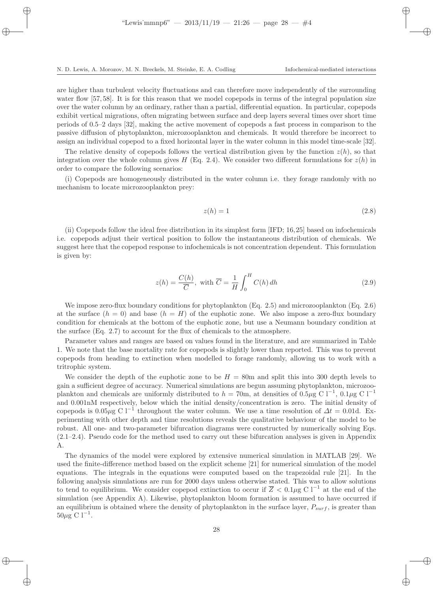are higher than turbulent velocity fluctuations and can therefore move independently of the surrounding water flow [57, 58]. It is for this reason that we model copepods in terms of the integral population size over the water column by an ordinary, rather than a partial, differential equation. In particular, copepods exhibit vertical migrations, often migrating between surface and deep layers several times over short time periods of 0.5–2 days [32], making the active movement of copepods a fast process in comparison to the passive diffusion of phytoplankton, microzooplankton and chemicals. It would therefore be incorrect to assign an individual copepod to a fixed horizontal layer in the water column in this model time-scale [32].

The relative density of copepods follows the vertical distribution given by the function  $z(h)$ , so that integration over the whole column gives H (Eq. 2.4). We consider two different formulations for  $z(h)$  in order to compare the following scenarios:

(i) Copepods are homogeneously distributed in the water column i.e. they forage randomly with no mechanism to locate microzooplankton prey:

$$
z(h) = 1\tag{2.8}
$$

(ii) Copepods follow the ideal free distribution in its simplest form [IFD; 16,25] based on infochemicals i.e. copepods adjust their vertical position to follow the instantaneous distribution of chemicals. We suggest here that the copepod response to infochemicals is not concentration dependent. This formulation is given by:

$$
z(h) = \frac{C(h)}{\overline{C}}, \text{ with } \overline{C} = \frac{1}{H} \int_0^H C(h) \, dh \tag{2.9}
$$

We impose zero-flux boundary conditions for phytoplankton (Eq. 2.5) and microzooplankton (Eq. 2.6) at the surface  $(h = 0)$  and base  $(h = H)$  of the euphotic zone. We also impose a zero-flux boundary condition for chemicals at the bottom of the euphotic zone, but use a Neumann boundary condition at the surface (Eq. 2.7) to account for the flux of chemicals to the atmosphere.

Parameter values and ranges are based on values found in the literature, and are summarized in Table 1. We note that the base mortality rate for copepods is slightly lower than reported. This was to prevent copepods from heading to extinction when modelled to forage randomly, allowing us to work with a tritrophic system.

We consider the depth of the euphotic zone to be  $H = 80$ m and split this into 300 depth levels to gain a sufficient degree of accuracy. Numerical simulations are begun assuming phytoplankton, microzooplankton and chemicals are uniformly distributed to  $h = 70$ m, at densities of 0.5µg C l<sup>-1</sup>, 0.1µg C l<sup>-1</sup> and 0.001nM respectively, below which the initial density/concentration is zero. The initial density of copepods is 0.05 $\mu$ g C l<sup>−1</sup> throughout the water column. We use a time resolution of  $\Delta t = 0.01$ d. Experimenting with other depth and time resolutions reveals the qualitative behaviour of the model to be robust. All one- and two-parameter bifurcation diagrams were constructed by numerically solving Eqs. (2.1–2.4). Pseudo code for the method used to carry out these bifurcation analyses is given in Appendix A.

The dynamics of the model were explored by extensive numerical simulation in MATLAB [29]. We used the finite-difference method based on the explicit scheme [21] for numerical simulation of the model equations. The integrals in the equations were computed based on the trapezoidal rule [21]. In the following analysis simulations are run for 2000 days unless otherwise stated. This was to allow solutions to tend to equilibrium. We consider copepod extinction to occur if  $\overline{Z}$  < 0.1 $\mu$ g C l<sup>-1</sup> at the end of the simulation (see Appendix A). Likewise, phytoplankton bloom formation is assumed to have occurred if an equilibrium is obtained where the density of phytoplankton in the surface layer,  $P_{surf}$ , is greater than  $50\mu\text{g}^{\bullet} \text{C}$  l<sup>-1</sup>.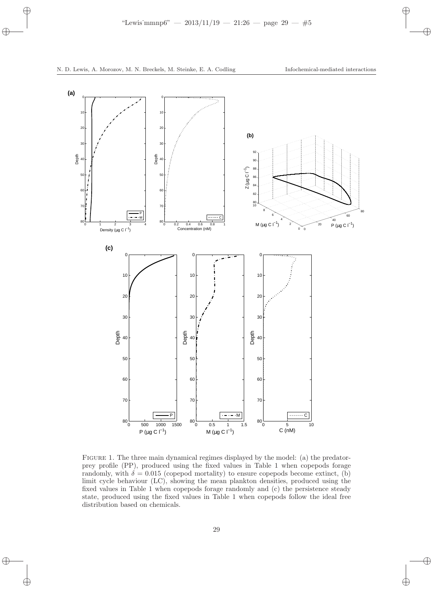

Figure 1. The three main dynamical regimes displayed by the model: (a) the predatorprey profile (PP), produced using the fixed values in Table 1 when copepods forage randomly, with  $\delta = 0.015$  (copepod mortality) to ensure copepods become extinct, (b) limit cycle behaviour (LC), showing the mean plankton densities, produced using the fixed values in Table 1 when copepods forage randomly and (c) the persistence steady state, produced using the fixed values in Table 1 when copepods follow the ideal free distribution based on chemicals.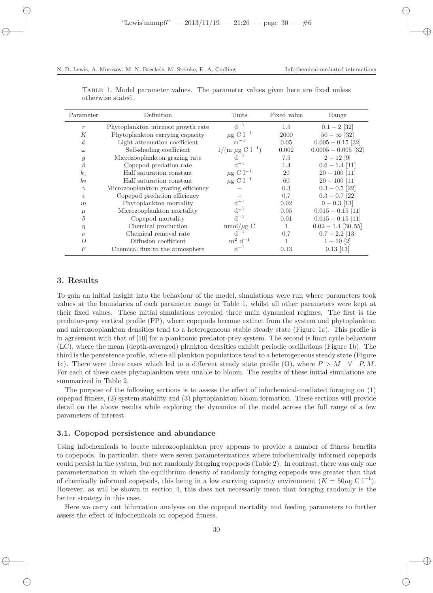| Parameter        | Definition                          | Units                       | Fixed value  | Range                 |  |
|------------------|-------------------------------------|-----------------------------|--------------|-----------------------|--|
| $\boldsymbol{r}$ | Phytoplankton intrinsic growth rate | $d^{-1}$                    | 1.5          | $0.1 - 2$ [32]        |  |
| К                | Phytoplankton carrying capacity     | $\mu$ g C l <sup>-1</sup>   | 2000         | $50 - \infty$ [32]    |  |
| $\phi$           | Light attenuation coefficient       | $m^{-1}$                    | 0.05         | $0.005 - 0.15$ [32]   |  |
| $\omega$         | Self-shading coefficient            | $1/(m \mu g C l^{-1})$      | 0.002        | $0.0005 - 0.005$ [32] |  |
| $\mathfrak{g}$   | Microzooplankton grazing rate       | $d^{-1}$                    | 7.5          | $2-12$ [9]            |  |
| $\beta$          | Copepod predation rate              | $d^{-1}$                    | 1.4          | $0.6 - 1.4$ [11]      |  |
| k <sub>1</sub>   | Half saturation constant            | $\mu$ g C l <sup>-1</sup>   | 20           | $20 - 100$ [11]       |  |
| k <sub>2</sub>   | Half saturation constant            | $\mu$ g C l <sup>-1</sup>   | 60           | $20 - 100$ [11]       |  |
| $\gamma$         | Microzooplankton grazing efficiency |                             | 0.3          | $0.3 - 0.5$ [22]      |  |
| $\epsilon$       | Copepod predation efficiency        |                             | 0.7          | $0.3 - 0.7$ [22]      |  |
| m                | Phytoplankton mortality             | $d^{-1}$                    | 0.02         | $0 - 0.3$ [13]        |  |
| $\mu$            | Microzooplankton mortality          | $d^{-1}$                    | 0.05         | $0.015 - 0.15$ [11]   |  |
| $\delta$         | Copepod mortality                   | $d^{-1}$                    | 0.01         | $0.015 - 0.15$ [11]   |  |
| $\eta$           | Chemical production                 | $\text{mmol}/\mu\text{g}$ C | $\mathbf{1}$ | $0.02 - 1.4$ [30, 55] |  |
| $\nu$            | Chemical removal rate               | $d^{-1}$                    | 0.7          | $0.7 - 2.2$ [13]      |  |
| D                | Diffusion coefficient               | $m^2$ d <sup>-1</sup>       | 1            | $1 - 10$ [2]          |  |
| $\boldsymbol{F}$ | Chemical flux to the atmosphere     | $d^{-1}$                    | 0.13         | $0.13$ [13]           |  |

Table 1. Model parameter values. The parameter values given here are fixed unless otherwise stated.

# 3. Results

To gain an initial insight into the behaviour of the model, simulations were run where parameters took values at the boundaries of each parameter range in Table 1, whilst all other parameters were kept at their fixed values. These initial simulations revealed three main dynamical regimes. The first is the predator-prey vertical profile (PP), where copepods become extinct from the system and phytoplankton and microzooplankton densities tend to a heterogeneous stable steady state (Figure 1a). This profile is in agreement with that of [10] for a planktonic predator-prey system. The second is limit cycle behaviour (LC), where the mean (depth-averaged) plankton densities exhibit periodic oscillations (Figure 1b). The third is the persistence profile, where all plankton populations tend to a heterogeneous steady state (Figure 1c). There were three cases which led to a different steady state profile (O), where  $P > M \quad \forall P, M$ . For each of these cases phytoplankton were unable to bloom. The results of these initial simulations are summarized in Table 2.

The purpose of the following sections is to assess the effect of infochemical-mediated foraging on (1) copepod fitness, (2) system stability and (3) phytoplankton bloom formation. These sections will provide detail on the above results while exploring the dynamics of the model across the full range of a few parameters of interest.

## 3.1. Copepod persistence and abundance

Using infochemicals to locate microzooplankton prey appears to provide a number of fitness benefits to copepods. In particular, there were seven parameterizations where infochemically informed copepods could persist in the system, but not randomly foraging copepods (Table 2). In contrast, there was only one parameterization in which the equilibrium density of randomly foraging copepods was greater than that of chemically informed copepods, this being in a low carrying capacity environment  $(K = 50 \mu g \text{ C } l^{-1})$ . However, as will be shown in section 4, this does not necessarily mean that foraging randomly is the better strategy in this case.

Here we carry out bifurcation analyses on the copepod mortality and feeding parameters to further assess the effect of infochemicals on copepod fitness.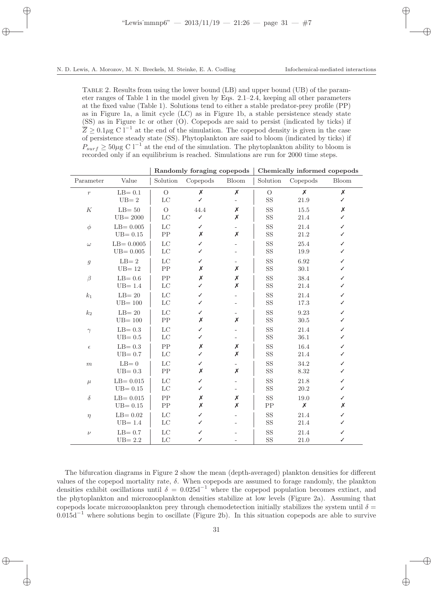Table 2. Results from using the lower bound (LB) and upper bound (UB) of the parameter ranges of Table 1 in the model given by Eqs. 2.1–2.4, keeping all other parameters at the fixed value (Table 1). Solutions tend to either a stable predator-prey profile (PP) as in Figure 1a, a limit cycle (LC) as in Figure 1b, a stable persistence steady state (SS) as in Figure 1c or other (O). Copepods are said to persist (indicated by ticks) if  $\overline{Z} \geq 0.1 \mu$ g C l<sup>-1</sup> at the end of the simulation. The copepod density is given in the case of persistence steady state (SS). Phytoplankton are said to bloom (indicated by ticks) if  $P_{surf} \geq 50 \mu$ g C l<sup>-1</sup> at the end of the simulation. The phytoplankton ability to bloom is recorded only if an equilibrium is reached. Simulations are run for 2000 time steps.

| Parameter        | Value                                | Solution                     | Copepods  | <b>Bloom</b>                  | Solution                  | Copepods                   | <b>Bloom</b> |
|------------------|--------------------------------------|------------------------------|-----------|-------------------------------|---------------------------|----------------------------|--------------|
| $\boldsymbol{r}$ | $LB = 0.1$<br>$\mathrm{UB}{=2}$      | $\mathcal{O}$<br>$_{\rm LC}$ | X<br>✓    | $\pmb{\mathsf{X}}$            | $\mathcal{O}$<br>$\rm SS$ | $\boldsymbol{x}$<br>21.9   | X<br>J       |
| $\cal K$         | $LB = 50$<br>$UB = 2000$             | $\overline{O}$<br>LC         | 44.4<br>✓ | Х<br>Х                        | <b>SS</b><br>$\rm SS$     | 15.5<br>$21.4\,$           | X<br>✓       |
| $\phi$           | $LB = 0.005$<br>$UB = 0.15$          | LC<br>${\rm PP}$             | ✓<br>X    | Х                             | <b>SS</b><br>$\rm SS$     | 21.4<br>$21.2\,$           | ✓<br>✓       |
| $\omega$         | $LB = 0.0005$<br>$UB = 0.005$        | $_{\rm LC}$<br>LC            | ✓<br>✓    |                               | <b>SS</b><br>SS           | 25.4<br>19.9               | ✓<br>✓       |
| $\boldsymbol{g}$ | $\mathrm{LB}{=2}$<br>$UB = 12$       | $_{\rm LC}$<br>PP            | ✓<br>Х    | Х                             | <b>SS</b><br>$\rm SS$     | 6.92<br>30.1               | ✓            |
| $\beta$          | $LB = 0.6$<br>$UB = 1.4$             | PP<br>$_{\rm LC}$            | Х<br>J    | $\pmb{\mathsf{X}}$<br>X       | $\rm SS$<br>$\rm SS$      | 38.4<br>$21.4\,$           | ✓<br>✓       |
| k <sub>1</sub>   | $LB = 20$<br>$\mathrm{UB}{=}\,100$   | $_{\rm LC}$<br>$_{\rm LC}$   | ✓<br>✓    |                               | SS<br>$\rm SS$            | 21.4<br>$17.3\,$           | ✓<br>✓       |
| $k_2$            | $LB = 20$<br>$UB = 100$              | $_{\rm LC}$<br>${\rm PP}$    | ✓<br>Х    | $\overline{\phantom{a}}$<br>X | <b>SS</b><br>$\rm SS$     | 9.23<br>30.5               | ✓<br>✓       |
| $\gamma$         | $LB = 0.3$<br>$UB = 0.5$             | $_{\rm LC}$<br>LC            | ✓<br>✓    |                               | <b>SS</b><br>$\rm SS$     | 21.4<br>36.1               | ✓<br>J       |
| $\epsilon$       | $LB = 0.3$<br>$UB = 0.7$             | PP<br>LC                     | X<br>✓    | Х<br>X                        | <b>SS</b><br>$\rm SS$     | 16.4<br>21.4               | ✓<br>✓       |
| $\,m$            | $LB=0$<br>$UB = 0.3$                 | $_{\rm LC}$<br>${\rm PP}$    | ✓<br>X    | Х                             | <b>SS</b><br>$\rm SS$     | 34.2<br>8.32               | ✓<br>✓       |
| $\mu$            | $LB = 0.015$<br>$\mathrm{UB}{=0.15}$ | $_{\rm LC}$<br>$_{\rm LC}$   | ✓<br>✓    |                               | <b>SS</b><br>$\rm SS$     | 21.8<br>$20.2\,$           | ✓<br>✓       |
| $\delta$         | $LB = 0.015$<br>$UB = 0.15$          | PP<br>${\rm PP}$             | X<br>X    | $\pmb{\mathsf{X}}$<br>X       | $\rm SS$<br>PP            | 19.0<br>$\pmb{\mathsf{X}}$ | ✓<br>X       |
| $\eta$           | $LB = 0.02$<br>$UB = 1.4$            | $_{\rm LC}$<br>$_{\rm LC}$   | ✓<br>✓    |                               | $\rm SS$<br>$\rm SS$      | 21.4<br>$21.4\,$           | ✓<br>✓       |
| $\nu$            | $LB = 0.7$<br>$UB = 2.2$             | LC<br>$_{\rm LC}$            | ✓<br>✓    |                               | <b>SS</b><br>$\rm SS$     | 21.4<br>21.0               | ✓<br>✓       |

Randomly foraging copepods Chemically informed copepods

The bifurcation diagrams in Figure 2 show the mean (depth-averaged) plankton densities for different values of the copepod mortality rate,  $\delta$ . When copepods are assumed to forage randomly, the plankton densities exhibit oscillations until  $\delta = 0.025d^{-1}$  where the copepod population becomes extinct, and the phytoplankton and microzooplankton densities stabilize at low levels (Figure 2a). Assuming that copepods locate microzooplankton prey through chemodetection initially stabilizes the system until  $\delta$  =  $0.015d^{-1}$  where solutions begin to oscillate (Figure 2b). In this situation copepods are able to survive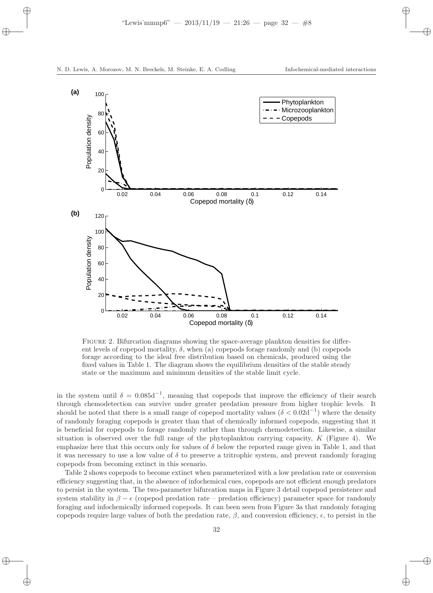

FIGURE 2. Bifurcation diagrams showing the space-average plankton densities for different levels of copepod mortality,  $\delta$ , when (a) copepods forage randomly and (b) copepods forage according to the ideal free distribution based on chemicals, produced using the fixed values in Table 1. The diagram shows the equilibrium densities of the stable steady state or the maximum and minimum densities of the stable limit cycle.

in the system until  $\delta = 0.085d^{-1}$ , meaning that copepods that improve the efficiency of their search through chemodetection can survive under greater predation pressure from higher trophic levels. It should be noted that there is a small range of copepod mortality values ( $\delta < 0.02d^{-1}$ ) where the density of randomly foraging copepods is greater than that of chemically informed copepods, suggesting that it is beneficial for copepods to forage randomly rather than through chemodetection. Likewise, a similar situation is observed over the full range of the phytoplankton carrying capacity,  $K$  (Figure 4). We emphasize here that this occurs only for values of  $\delta$  below the reported range given in Table 1, and that it was necessary to use a low value of  $\delta$  to preserve a tritrophic system, and prevent randomly foraging copepods from becoming extinct in this scenario.

Table 2 shows copepods to become extinct when parameterized with a low predation rate or conversion efficiency suggesting that, in the absence of infochemical cues, copepods are not efficient enough predators to persist in the system. The two-parameter bifurcation maps in Figure 3 detail copepod persistence and system stability in  $\beta - \epsilon$  (copepod predation rate – predation efficiency) parameter space for randomly foraging and infochemically informed copepods. It can been seen from Figure 3a that randomly foraging copepods require large values of both the predation rate,  $\beta$ , and conversion efficiency,  $\epsilon$ , to persist in the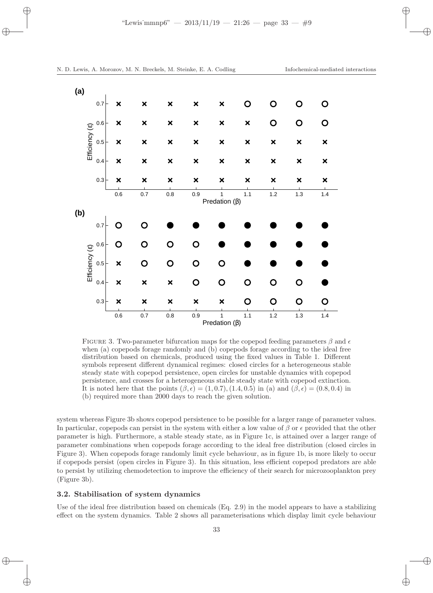

FIGURE 3. Two-parameter bifurcation maps for the copepod feeding parameters  $\beta$  and  $\epsilon$ when (a) copepods forage randomly and (b) copepods forage according to the ideal free distribution based on chemicals, produced using the fixed values in Table 1. Different symbols represent different dynamical regimes: closed circles for a heterogeneous stable steady state with copepod persistence, open circles for unstable dynamics with copepod persistence, and crosses for a heterogeneous stable steady state with copepod extinction. It is noted here that the points  $(\beta, \epsilon) = (1, 0.7), (1.4, 0.5)$  in (a) and  $(\beta, \epsilon) = (0.8, 0.4)$  in (b) required more than 2000 days to reach the given solution.

system whereas Figure 3b shows copepod persistence to be possible for a larger range of parameter values. In particular, copepods can persist in the system with either a low value of  $\beta$  or  $\epsilon$  provided that the other parameter is high. Furthermore, a stable steady state, as in Figure 1c, is attained over a larger range of parameter combinations when copepods forage according to the ideal free distribution (closed circles in Figure 3). When copepods forage randomly limit cycle behaviour, as in figure 1b, is more likely to occur if copepods persist (open circles in Figure 3). In this situation, less efficient copepod predators are able to persist by utilizing chemodetection to improve the efficiency of their search for microzooplankton prey (Figure 3b).

## 3.2. Stabilisation of system dynamics

Use of the ideal free distribution based on chemicals (Eq. 2.9) in the model appears to have a stabilizing effect on the system dynamics. Table 2 shows all parameterisations which display limit cycle behaviour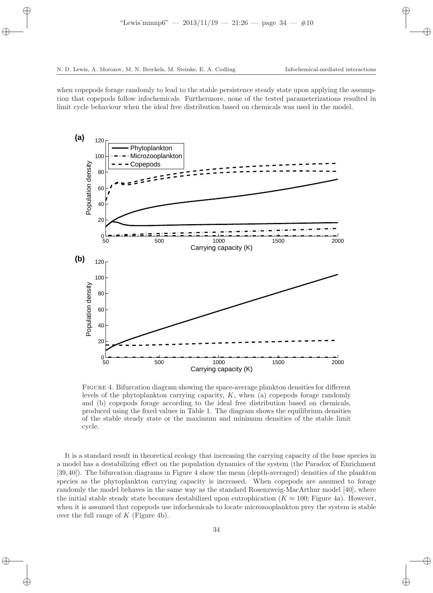when copepods forage randomly to lead to the stable persistence steady state upon applying the assumption that copepods follow infochemicals. Furthermore, none of the tested parameterizations resulted in limit cycle behaviour when the ideal free distribution based on chemicals was used in the model.



Figure 4. Bifurcation diagram showing the space-average plankton densities for different levels of the phytoplankton carrying capacity, K, when (a) copepods forage randomly and (b) copepods forage according to the ideal free distribution based on chemicals, produced using the fixed values in Table 1. The diagram shows the equilibrium densities of the stable steady state or the maximum and minimum densities of the stable limit cycle.

It is a standard result in theoretical ecology that increasing the carrying capacity of the base species in a model has a destabilizing effect on the population dynamics of the system (the Paradox of Enrichment [39,40]). The bifurcation diagrams in Figure 4 show the mean (depth-averaged) densities of the plankton species as the phytoplankton carrying capacity is increased. When copepods are assumed to forage randomly the model behaves in the same way as the standard Rosenzweig-MacArthur model [40], where the initial stable steady state becomes destabilized upon eutrophication ( $K \approx 100$ ; Figure 4a). However, when it is assumed that copepods use infochemicals to locate microzooplankton prey the system is stable over the full range of  $K$  (Figure 4b).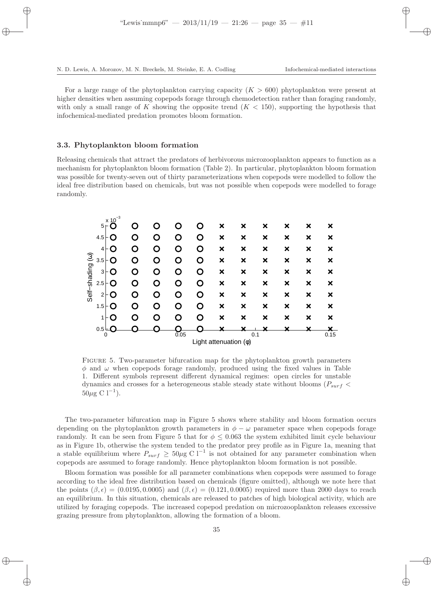For a large range of the phytoplankton carrying capacity  $(K > 600)$  phytoplankton were present at higher densities when assuming copepods forage through chemodetection rather than foraging randomly, with only a small range of K showing the opposite trend  $(K < 150)$ , supporting the hypothesis that infochemical-mediated predation promotes bloom formation.

#### 3.3. Phytoplankton bloom formation

Releasing chemicals that attract the predators of herbivorous microzooplankton appears to function as a mechanism for phytoplankton bloom formation (Table 2). In particular, phytoplankton bloom formation was possible for twenty-seven out of thirty parameterizations when copepods were modelled to follow the ideal free distribution based on chemicals, but was not possible when copepods were modelled to forage randomly.



Figure 5. Two-parameter bifurcation map for the phytoplankton growth parameters  $\phi$  and  $\omega$  when copepods forage randomly, produced using the fixed values in Table 1. Different symbols represent different dynamical regimes: open circles for unstable dynamics and crosses for a heterogeneous stable steady state without blooms ( $P_{surf}$  <  $50\mu$ g C l<sup>-1</sup>).

The two-parameter bifurcation map in Figure 5 shows where stability and bloom formation occurs depending on the phytoplankton growth parameters in  $\phi - \omega$  parameter space when copepods forage randomly. It can be seen from Figure 5 that for  $\phi \leq 0.063$  the system exhibited limit cycle behaviour as in Figure 1b, otherwise the system tended to the predator prey profile as in Figure 1a, meaning that a stable equilibrium where  $P_{surf} \geq 50 \mu$ g C l<sup>-1</sup> is not obtained for any parameter combination when copepods are assumed to forage randomly. Hence phytoplankton bloom formation is not possible.

Bloom formation was possible for all parameter combinations when copepods were assumed to forage according to the ideal free distribution based on chemicals (figure omitted), although we note here that the points  $(\beta, \epsilon) = (0.0195, 0.0005)$  and  $(\beta, \epsilon) = (0.121, 0.0005)$  required more than 2000 days to reach an equilibrium. In this situation, chemicals are released to patches of high biological activity, which are utilized by foraging copepods. The increased copepod predation on microzooplankton releases excessive grazing pressure from phytoplankton, allowing the formation of a bloom.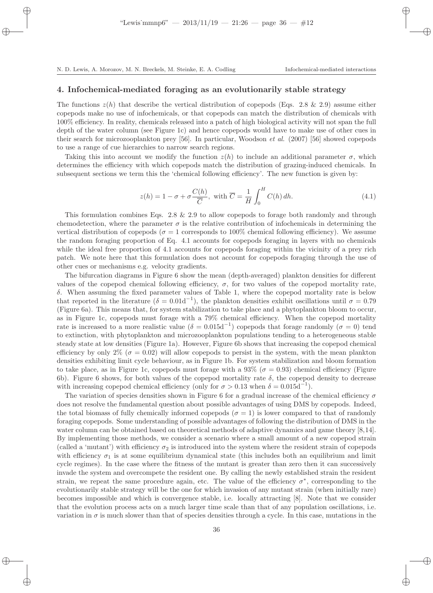# 4. Infochemical-mediated foraging as an evolutionarily stable strategy

The functions  $z(h)$  that describe the vertical distribution of copepods (Eqs. 2.8 & 2.9) assume either copepods make no use of infochemicals, or that copepods can match the distribution of chemicals with 100% efficiency. In reality, chemicals released into a patch of high biological activity will not span the full depth of the water column (see Figure 1c) and hence copepods would have to make use of other cues in their search for microzooplankton prey [56]. In particular, Woodson et al. (2007) [56] showed copepods to use a range of cue hierarchies to narrow search regions.

Taking this into account we modify the function  $z(h)$  to include an additional parameter  $\sigma$ , which determines the efficiency with which copepods match the distribution of grazing-induced chemicals. In subsequent sections we term this the 'chemical following efficiency'. The new function is given by:

$$
z(h) = 1 - \sigma + \sigma \frac{C(h)}{\overline{C}}, \text{ with } \overline{C} = \frac{1}{H} \int_0^H C(h) \, dh. \tag{4.1}
$$

This formulation combines Eqs. 2.8  $\&$  2.9 to allow copepods to forage both randomly and through chemodetection, where the parameter  $\sigma$  is the relative contribution of infochemicals in determining the vertical distribution of copepods ( $\sigma = 1$  corresponds to 100% chemical following efficiency). We assume the random foraging proportion of Eq. 4.1 accounts for copepods foraging in layers with no chemicals while the ideal free proportion of 4.1 accounts for copepods foraging within the vicinity of a prey rich patch. We note here that this formulation does not account for copepods foraging through the use of other cues or mechanisms e.g. velocity gradients.

The bifurcation diagrams in Figure 6 show the mean (depth-averaged) plankton densities for different values of the copepod chemical following efficiency,  $\sigma$ , for two values of the copepod mortality rate, δ. When assuming the fixed parameter values of Table 1, where the copepod mortality rate is below that reported in the literature  $(\delta = 0.01d^{-1})$ , the plankton densities exhibit oscillations until  $\sigma = 0.79$ (Figure 6a). This means that, for system stabilization to take place and a phytoplankton bloom to occur, as in Figure 1c, copepods must forage with a 79% chemical efficiency. When the copepod mortality rate is increased to a more realistic value ( $\delta = 0.015d^{-1}$ ) copepods that forage randomly ( $\sigma = 0$ ) tend to extinction, with phytoplankton and microzooplankton populations tending to a heterogeneous stable steady state at low densities (Figure 1a). However, Figure 6b shows that increasing the copepod chemical efficiency by only 2% ( $\sigma = 0.02$ ) will allow copepods to persist in the system, with the mean plankton densities exhibiting limit cycle behaviour, as in Figure 1b. For system stabilization and bloom formation to take place, as in Figure 1c, copepods must forage with a 93% ( $\sigma = 0.93$ ) chemical efficiency (Figure 6b). Figure 6 shows, for both values of the copepod mortality rate  $\delta$ , the copepod density to decrease with increasing copepod chemical efficiency (only for  $\sigma > 0.13$  when  $\delta = 0.015d^{-1}$ ).

The variation of species densities shown in Figure 6 for a gradual increase of the chemical efficiency  $\sigma$ does not resolve the fundamental question about possible advantages of using DMS by copepods. Indeed, the total biomass of fully chemically informed copepods ( $\sigma = 1$ ) is lower compared to that of randomly foraging copepods. Some understanding of possible advantages of following the distribution of DMS in the water column can be obtained based on theoretical methods of adaptive dynamics and game theory [8,14]. By implementing those methods, we consider a scenario where a small amount of a new copepod strain (called a 'mutant') with efficiency  $\sigma_2$  is introduced into the system where the resident strain of copepods with efficiency  $\sigma_1$  is at some equilibrium dynamical state (this includes both an equilibrium and limit cycle regimes). In the case where the fitness of the mutant is greater than zero then it can successively invade the system and overcompete the resident one. By calling the newly established strain the resident strain, we repeat the same procedure again, etc. The value of the efficiency  $\sigma^*$ , corresponding to the evolutionarily stable strategy will be the one for which invasion of any mutant strain (when initially rare) becomes impossible and which is convergence stable, i.e. locally attracting [8]. Note that we consider that the evolution process acts on a much larger time scale than that of any population oscillations, i.e. variation in  $\sigma$  is much slower than that of species densities through a cycle. In this case, mutations in the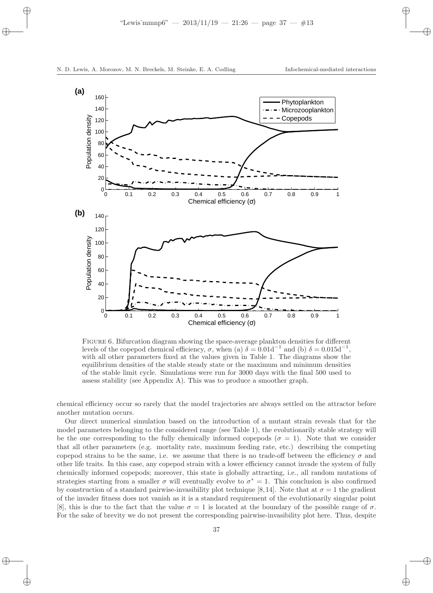

Figure 6. Bifurcation diagram showing the space-average plankton densities for different levels of the copepod chemical efficiency, σ, when (a)  $\delta = 0.01d^{-1}$  and (b)  $\delta = 0.015d^{-1}$ , with all other parameters fixed at the values given in Table 1. The diagrams show the equilibrium densities of the stable steady state or the maximum and minimum densities of the stable limit cycle. Simulations were run for 3000 days with the final 500 used to assess stability (see Appendix A). This was to produce a smoother graph.

chemical efficiency occur so rarely that the model trajectories are always settled on the attractor before another mutation occurs.

Our direct numerical simulation based on the introduction of a mutant strain reveals that for the model parameters belonging to the considered range (see Table 1), the evolutionarily stable strategy will be the one corresponding to the fully chemically informed copepods ( $\sigma = 1$ ). Note that we consider that all other parameters (e.g. mortality rate, maximum feeding rate, etc.) describing the competing copepod strains to be the same, i.e. we assume that there is no trade-off between the efficiency  $\sigma$  and other life traits. In this case, any copepod strain with a lower efficiency cannot invade the system of fully chemically informed copepods; moreover, this state is globally attracting, i.e., all random mutations of strategies starting from a smaller  $\sigma$  will eventually evolve to  $\sigma^* = 1$ . This conclusion is also confirmed by construction of a standard pairwise-invasibility plot technique [8,14]. Note that at  $\sigma = 1$  the gradient of the invader fitness does not vanish as it is a standard requirement of the evolutionarily singular point [8], this is due to the fact that the value  $\sigma = 1$  is located at the boundary of the possible range of  $\sigma$ . For the sake of brevity we do not present the corresponding pairwise-invasibility plot here. Thus, despite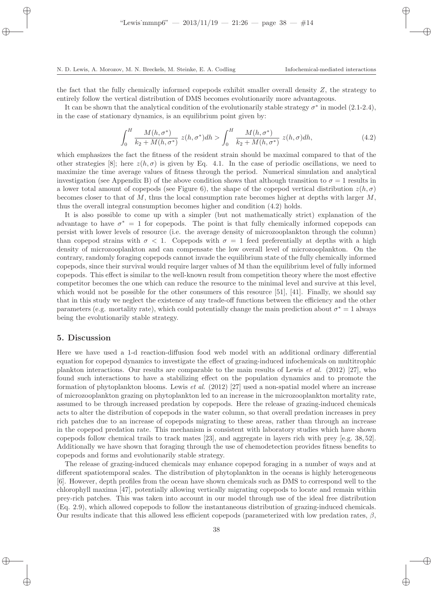the fact that the fully chemically informed copepods exhibit smaller overall density  $Z$ , the strategy to entirely follow the vertical distribution of DMS becomes evolutionarily more advantageous.

It can be shown that the analytical condition of the evolutionarily stable strategy  $\sigma^*$  in model (2.1-2.4), in the case of stationary dynamics, is an equilibrium point given by:

$$
\int_0^H \frac{M(h, \sigma^*)}{k_2 + M(h, \sigma^*)} z(h, \sigma^*) dh > \int_0^H \frac{M(h, \sigma^*)}{k_2 + M(h, \sigma^*)} z(h, \sigma) dh,\tag{4.2}
$$

which emphasizes the fact the fitness of the resident strain should be maximal compared to that of the other strategies [8]; here  $z(h, \sigma)$  is given by Eq. 4.1. In the case of periodic oscillations, we need to maximize the time average values of fitness through the period. Numerical simulation and analytical investigation (see Appendix B) of the above condition shows that although transition to  $\sigma = 1$  results in a lower total amount of copepods (see Figure 6), the shape of the copepod vertical distribution  $z(h, \sigma)$ becomes closer to that of  $M$ , thus the local consumption rate becomes higher at depths with larger  $M$ , thus the overall integral consumption becomes higher and condition (4.2) holds.

It is also possible to come up with a simpler (but not mathematically strict) explanation of the advantage to have  $\sigma^* = 1$  for copepods. The point is that fully chemically informed copepods can persist with lower levels of resource (i.e. the average density of microzooplankton through the column) than copepod strains with  $\sigma < 1$ . Copepods with  $\sigma = 1$  feed preferentially at depths with a high density of microzooplankton and can compensate the low overall level of microzooplankton. On the contrary, randomly foraging copepods cannot invade the equilibrium state of the fully chemically informed copepods, since their survival would require larger values of M than the equilibrium level of fully informed copepods. This effect is similar to the well-known result from competition theory where the most effective competitor becomes the one which can reduce the resource to the minimal level and survive at this level, which would not be possible for the other consumers of this resource [51], [41]. Finally, we should say that in this study we neglect the existence of any trade-off functions between the efficiency and the other parameters (e.g. mortality rate), which could potentially change the main prediction about  $\sigma^* = 1$  always being the evolutionarily stable strategy.

## 5. Discussion

Here we have used a 1-d reaction-diffusion food web model with an additional ordinary differential equation for copepod dynamics to investigate the effect of grazing-induced infochemicals on multitrophic plankton interactions. Our results are comparable to the main results of Lewis et al. (2012) [27], who found such interactions to have a stabilizing effect on the population dynamics and to promote the formation of phytoplankton blooms. Lewis et al.  $(2012)$  [27] used a non-spatial model where an increase of microzooplankton grazing on phytoplankton led to an increase in the microzooplankton mortality rate, assumed to be through increased predation by copepods. Here the release of grazing-induced chemicals acts to alter the distribution of copepods in the water column, so that overall predation increases in prey rich patches due to an increase of copepods migrating to these areas, rather than through an increase in the copepod predation rate. This mechanism is consistent with laboratory studies which have shown copepods follow chemical trails to track mates [23], and aggregate in layers rich with prey [e.g. 38, 52]. Additionally we have shown that foraging through the use of chemodetection provides fitness benefits to copepods and forms and evolutionarily stable strategy.

The release of grazing-induced chemicals may enhance copepod foraging in a number of ways and at different spatiotemporal scales. The distribution of phytoplankton in the oceans is highly heterogeneous [6]. However, depth profiles from the ocean have shown chemicals such as DMS to correspond well to the chlorophyll maxima [47], potentially allowing vertically migrating copepods to locate and remain within prey-rich patches. This was taken into account in our model through use of the ideal free distribution (Eq. 2.9), which allowed copepods to follow the instantaneous distribution of grazing-induced chemicals. Our results indicate that this allowed less efficient copepods (parameterized with low predation rates,  $\beta$ ,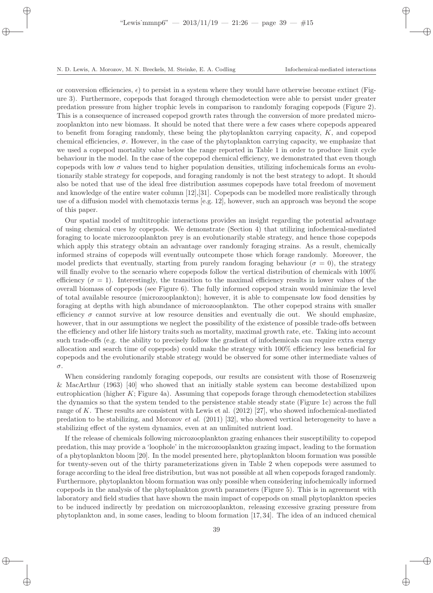or conversion efficiencies,  $\epsilon$ ) to persist in a system where they would have otherwise become extinct (Figure 3). Furthermore, copepods that foraged through chemodetection were able to persist under greater predation pressure from higher trophic levels in comparison to randomly foraging copepods (Figure 2). This is a consequence of increased copepod growth rates through the conversion of more predated microzooplankton into new biomass. It should be noted that there were a few cases where copepods appeared to benefit from foraging randomly, these being the phytoplankton carrying capacity, K, and copepod chemical efficiencies,  $\sigma$ . However, in the case of the phytoplankton carrying capacity, we emphasize that we used a copepod mortality value below the range reported in Table 1 in order to produce limit cycle behaviour in the model. In the case of the copepod chemical efficiency, we demonstrated that even though copepods with low  $\sigma$  values tend to higher population densities, utilizing infochemicals forms an evolutionarily stable strategy for copepods, and foraging randomly is not the best strategy to adopt. It should also be noted that use of the ideal free distribution assumes copepods have total freedom of movement and knowledge of the entire water column [12],[31]. Copepods can be modelled more realistically through use of a diffusion model with chemotaxis terms [e.g. 12], however, such an approach was beyond the scope of this paper.

Our spatial model of multitrophic interactions provides an insight regarding the potential advantage of using chemical cues by copepods. We demonstrate (Section 4) that utilizing infochemical-mediated foraging to locate microzooplankton prey is an evolutionarily stable strategy, and hence those copepods which apply this strategy obtain an advantage over randomly foraging strains. As a result, chemically informed strains of copepods will eventually outcompete those which forage randomly. Moreover, the model predicts that eventually, starting from purely random foraging behaviour ( $\sigma = 0$ ), the strategy will finally evolve to the scenario where copepods follow the vertical distribution of chemicals with  $100\%$ efficiency ( $\sigma = 1$ ). Interestingly, the transition to the maximal efficiency results in lower values of the overall biomass of copepods (see Figure 6). The fully informed copepod strain would minimize the level of total available resource (microzooplankton); however, it is able to compensate low food densities by foraging at depths with high abundance of microzooplankton. The other copepod strains with smaller efficiency  $\sigma$  cannot survive at low resource densities and eventually die out. We should emphasize, however, that in our assumptions we neglect the possibility of the existence of possible trade-offs between the efficiency and other life history traits such as mortality, maximal growth rate, etc. Taking into account such trade-offs (e.g. the ability to precisely follow the gradient of infochemicals can require extra energy allocation and search time of copepods) could make the strategy with 100% efficiency less beneficial for copepods and the evolutionarily stable strategy would be observed for some other intermediate values of σ.

When considering randomly foraging copepods, our results are consistent with those of Rosenzweig & MacArthur (1963) [40] who showed that an initially stable system can become destabilized upon eutrophication (higher  $K$ ; Figure 4a). Assuming that copepods forage through chemodetection stabilizes the dynamics so that the system tended to the persistence stable steady state (Figure 1c) across the full range of K. These results are consistent with Lewis et al. (2012) [27], who showed infochemical-mediated predation to be stabilizing, and Morozov et al. (2011) [32], who showed vertical heterogeneity to have a stabilizing effect of the system dynamics, even at an unlimited nutrient load.

If the release of chemicals following microzooplankton grazing enhances their susceptibility to copepod predation, this may provide a 'loophole' in the microzooplankton grazing impact, leading to the formation of a phytoplankton bloom [20]. In the model presented here, phytoplankton bloom formation was possible for twenty-seven out of the thirty parameterizations given in Table 2 when copepods were assumed to forage according to the ideal free distribution, but was not possible at all when copepods foraged randomly. Furthermore, phytoplankton bloom formation was only possible when considering infochemically informed copepods in the analysis of the phytoplankton growth parameters (Figure 5). This is in agreement with laboratory and field studies that have shown the main impact of copepods on small phytoplankton species to be induced indirectly by predation on microzooplankton, releasing excessive grazing pressure from phytoplankton and, in some cases, leading to bloom formation [17, 34]. The idea of an induced chemical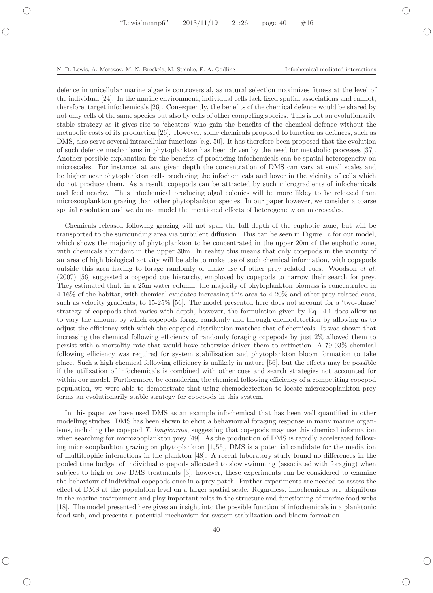defence in unicellular marine algae is controversial, as natural selection maximizes fitness at the level of the individual [24]. In the marine environment, individual cells lack fixed spatial associations and cannot, therefore, target infochemicals [26]. Consequently, the benefits of the chemical defence would be shared by not only cells of the same species but also by cells of other competing species. This is not an evolutionarily stable strategy as it gives rise to 'cheaters' who gain the benefits of the chemical defence without the metabolic costs of its production [26]. However, some chemicals proposed to function as defences, such as DMS, also serve several intracellular functions [e.g. 50]. It has therefore been proposed that the evolution of such defence mechanisms in phytoplankton has been driven by the need for metabolic processes [37]. Another possible explanation for the benefits of producing infochemicals can be spatial heterogeneity on microscales. For instance, at any given depth the concentration of DMS can vary at small scales and be higher near phytoplankton cells producing the infochemicals and lower in the vicinity of cells which do not produce them. As a result, copepods can be attracted by such microgradients of infochemicals and feed nearby. Thus infochemical producing algal colonies will be more likley to be released from microzooplankton grazing than other phytoplankton species. In our paper however, we consider a coarse spatial resolution and we do not model the mentioned effects of heterogeneity on microscales.

Chemicals released following grazing will not span the full depth of the euphotic zone, but will be transported to the surrounding area via turbulent diffusion. This can be seen in Figure 1c for our model, which shows the majority of phytoplankton to be concentrated in the upper 20m of the euphotic zone, with chemicals abundant in the upper 30m. In reality this means that only copepods in the vicinity of an area of high biological activity will be able to make use of such chemical information, with copepods outside this area having to forage randomly or make use of other prey related cues. Woodson et al. (2007) [56] suggested a copepod cue hierarchy, employed by copepods to narrow their search for prey. They estimated that, in a 25m water column, the majority of phytoplankton biomass is concentrated in 4-16% of the habitat, with chemical exudates increasing this area to 4-20% and other prey related cues, such as velocity gradients, to 15-25% [56]. The model presented here does not account for a 'two-phase' strategy of copepods that varies with depth, however, the formulation given by Eq. 4.1 does allow us to vary the amount by which copepods forage randomly and through chemodetection by allowing us to adjust the efficiency with which the copepod distribution matches that of chemicals. It was shown that increasing the chemical following efficiency of randomly foraging copepods by just 2% allowed them to persist with a mortality rate that would have otherwise driven them to extinction. A 79-93% chemical following efficiency was required for system stabilization and phytoplankton bloom formation to take place. Such a high chemical following efficiency is unlikely in nature [56], but the effects may be possible if the utilization of infochemicals is combined with other cues and search strategies not accounted for within our model. Furthermore, by considering the chemical following efficiency of a competiting copepod population, we were able to demonstrate that using chemodectection to locate microzooplankton prey forms an evolutionarily stable strategy for copepods in this system.

In this paper we have used DMS as an example infochemical that has been well quantified in other modelling studies. DMS has been shown to elicit a behavioural foraging response in many marine organisms, including the copepod T. longicornis, suggesting that copepods may use this chemical information when searching for microzooplankton prey [49]. As the production of DMS is rapidly accelerated following microzooplankton grazing on phytoplankton [1, 55], DMS is a potential candidate for the mediation of multitrophic interactions in the plankton [48]. A recent laboratory study found no differences in the pooled time budget of individual copepods allocated to slow swimming (associated with foraging) when subject to high or low DMS treatments [3], however, these experiments can be considered to examine the behaviour of individual copepods once in a prey patch. Further experiments are needed to assess the effect of DMS at the population level on a larger spatial scale. Regardless, infochemicals are ubiquitous in the marine environment and play important roles in the structure and functioning of marine food webs [18]. The model presented here gives an insight into the possible function of infochemicals in a planktonic food web, and presents a potential mechanism for system stabilization and bloom formation.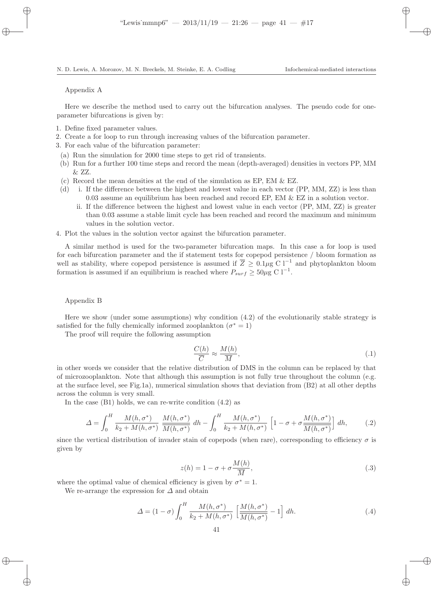#### Appendix A

Here we describe the method used to carry out the bifurcation analyses. The pseudo code for oneparameter bifurcations is given by:

- 1. Define fixed parameter values.
- 2. Create a for loop to run through increasing values of the bifurcation parameter.
- 3. For each value of the bifurcation parameter:
	- (a) Run the simulation for 2000 time steps to get rid of transients.
	- (b) Run for a further 100 time steps and record the mean (depth-averaged) densities in vectors PP, MM & ZZ.
	- (c) Record the mean densities at the end of the simulation as EP, EM & EZ.
	- (d) i. If the difference between the highest and lowest value in each vector (PP, MM, ZZ) is less than 0.03 assume an equilibrium has been reached and record EP, EM & EZ in a solution vector.
		- ii. If the difference between the highest and lowest value in each vector (PP, MM, ZZ) is greater than 0.03 assume a stable limit cycle has been reached and record the maximum and minimum values in the solution vector.
- 4. Plot the values in the solution vector against the bifurcation parameter.

A similar method is used for the two-parameter bifurcation maps. In this case a for loop is used for each bifurcation parameter and the if statement tests for copepod persistence / bloom formation as well as stability, where copepod persistence is assumed if  $\overline{Z} \geq 0.1 \mu \overline{g} C l^{-1}$  and phytoplankton bloom formation is assumed if an equilibrium is reached where  $P_{surf} \ge 50 \mu$ g C l<sup>-1</sup>.

#### Appendix B

Here we show (under some assumptions) why condition (4.2) of the evolutionarily stable strategy is satisfied for the fully chemically informed zooplankton  $(\sigma^* = 1)$ 

The proof will require the following assumption

$$
\frac{C(h)}{\overline{C}} \approx \frac{M(h)}{\overline{M}},\tag{.1}
$$

in other words we consider that the relative distribution of DMS in the column can be replaced by that of microzooplankton. Note that although this assumption is not fully true throughout the column (e.g. at the surface level, see Fig.1a), numerical simulation shows that deviation from (B2) at all other depths across the column is very small.

In the case (B1) holds, we can re-write condition (4.2) as

$$
\Delta = \int_0^H \frac{M(h, \sigma^*)}{k_2 + M(h, \sigma^*)} \frac{M(h, \sigma^*)}{M(h, \sigma^*)} dh - \int_0^H \frac{M(h, \sigma^*)}{k_2 + M(h, \sigma^*)} \left[1 - \sigma + \sigma \frac{M(h, \sigma^*)}{M(h, \sigma^*)}\right] dh,\tag{.2}
$$

since the vertical distribution of invader stain of copepods (when rare), corresponding to efficiency  $\sigma$  is given by

$$
z(h) = 1 - \sigma + \sigma \frac{M(h)}{\overline{M}},
$$
\n(.3)

where the optimal value of chemical efficiency is given by  $\sigma^* = 1$ .

We re-arrange the expression for  $\Delta$  and obtain

$$
\Delta = (1 - \sigma) \int_0^H \frac{M(h, \sigma^*)}{k_2 + M(h, \sigma^*)} \left[ \frac{M(h, \sigma^*)}{M(h, \sigma^*)} - 1 \right] dh. \tag{.4}
$$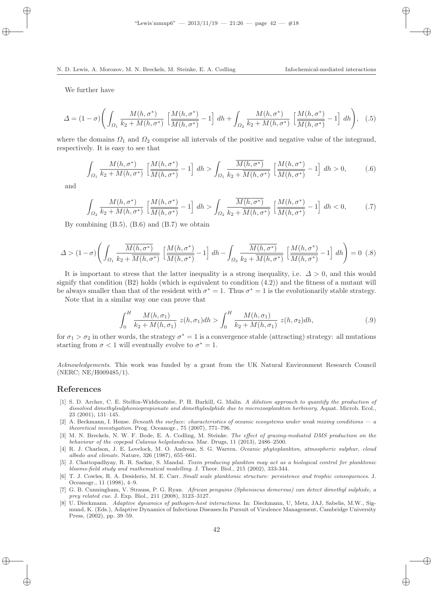We further have

$$
\Delta = (1 - \sigma) \left( \int_{\Omega_1} \frac{M(h, \sigma^*)}{k_2 + M(h, \sigma^*)} \left[ \frac{M(h, \sigma^*)}{M(h, \sigma^*)} - 1 \right] dh + \int_{\Omega_2} \frac{M(h, \sigma^*)}{k_2 + M(h, \sigma^*)} \left[ \frac{M(h, \sigma^*)}{M(h, \sigma^*)} - 1 \right] dh \right), \quad (.5)
$$

where the domains  $\Omega_1$  and  $\Omega_2$  comprise all intervals of the positive and negative value of the integrand, respectively. It is easy to see that

$$
\int_{\Omega_1} \frac{M(h,\sigma^*)}{k_2 + M(h,\sigma^*)} \left[ \frac{M(h,\sigma^*)}{M(h,\sigma^*)} - 1 \right] dh > \int_{\Omega_1} \frac{\overline{M(h,\sigma^*)}}{k_2 + \overline{M(h,\sigma^*)}} \left[ \frac{M(h,\sigma^*)}{M(h,\sigma^*)} - 1 \right] dh > 0,
$$
 (.6)

and

$$
\int_{\Omega_2} \frac{M(h,\sigma^*)}{k_2 + M(h,\sigma^*)} \left[ \frac{M(h,\sigma^*)}{M(h,\sigma^*)} - 1 \right] dh > \int_{\Omega_2} \frac{\overline{M(h,\sigma^*)}}{k_2 + \overline{M(h,\sigma^*)}} \left[ \frac{M(h,\sigma^*)}{M(h,\sigma^*)} - 1 \right] dh < 0, \tag{7}
$$

By combining (B.5), (B.6) and (B.7) we obtain

$$
\Delta > (1 - \sigma) \left( \int_{\Omega_1} \frac{\overline{M(h, \sigma^*)}}{k_2 + \overline{M(h, \sigma^*)}} \left[ \frac{M(h, \sigma^*)}{M(h, \sigma^*)} - 1 \right] dh - \int_{\Omega_2} \frac{\overline{M(h, \sigma^*)}}{k_2 + \overline{M(h, \sigma^*)}} \left[ \frac{M(h, \sigma^*)}{M(h, \sigma^*)} - 1 \right] dh \right) = 0 \tag{8}
$$

It is important to stress that the latter inequality is a strong inequality, i.e.  $\Delta > 0$ , and this would signify that condition  $(B2)$  holds (which is equivalent to condition  $(4.2)$ ) and the fitness of a mutant will be always smaller than that of the resident with  $\sigma^* = 1$ . Thus  $\sigma^* = 1$  is the evolutionarily stable strategy.

Note that in a similar way one can prove that

$$
\int_0^H \frac{M(h,\sigma_1)}{k_2 + M(h,\sigma_1)} z(h,\sigma_1) dh > \int_0^H \frac{M(h,\sigma_1)}{k_2 + M(h,\sigma_1)} z(h,\sigma_2) dh,\tag{.9}
$$

for  $\sigma_1 > \sigma_2$  in other words, the strategy  $\sigma^* = 1$  is a convergence stable (attracting) strategy: all mutations starting from  $\sigma < 1$  will eventually evolve to  $\sigma^* = 1$ .

Acknowledgements. This work was funded by a grant from the UK Natural Environment Research Council (NERC; NE/H009485/1).

## References

- [1] S. D. Archer, C. E. Stelfox-Widdicombe, P. H. Burkill, G. Malin. A dilution approach to quantify the production of dissolved dimethylsulphoniopropionate and dimethylsulphide due to microzooplankton herbivory. Aquat. Microb. Ecol., 23 (2001), 131–145.
- [2] A. Beckmann, I. Hense. Beneath the surface: characteristics of oceanic ecosystems under weak mixing conditions  $-a$ theoretical investigation. Prog. Oceanogr., 75 (2007), 771–796.
- [3] M. N. Breckels, N. W. F. Bode, E. A. Codling, M. Steinke. The effect of grazing-mediated DMS production on the behaviour of the copepod Calanus helgolandicus. Mar. Drugs, 11 (2013), 2486–2500.
- [4] R. J. Charlson, J. E. Lovelock, M. O. Andreae, S. G. Warren. Oceanic phytoplankton, atmospheric sulphur, cloud albedo and climate. Nature, 326 (1987), 655–661.
- [5] J. Chattopadhyay, R. R. Sarkar, S. Mandal. Toxin producing plankton may act as a biological control for planktonic blooms-field study and mathematical modelling. J. Theor. Biol., 215 (2002), 333-344.
- [6] T. J. Cowles, R. A. Desiderio, M. E. Carr. Small scale planktonic structure: persistence and trophic consequences. J. Oceanogr., 11 (1998), 4–9.
- [7] G. B. Cunningham, V. Strauss, P. G. Ryan. African penguins (Spheniscus demersus) can detect dimethyl sulphide, a prey related cue. J. Exp. Biol., 211 (2008), 3123–3127.
- [8] U. Dieckmann. Adaptive dynamics of pathogen-host interactions. In: Dieckmann, U, Metz, JAJ, Sabelis, M.W., Sigmund, K. (Eds.), Adaptive Dynamics of Infectious Diseases:In Pursuit of Virulence Management, Cambridge University Press, (2002), pp. 39–59.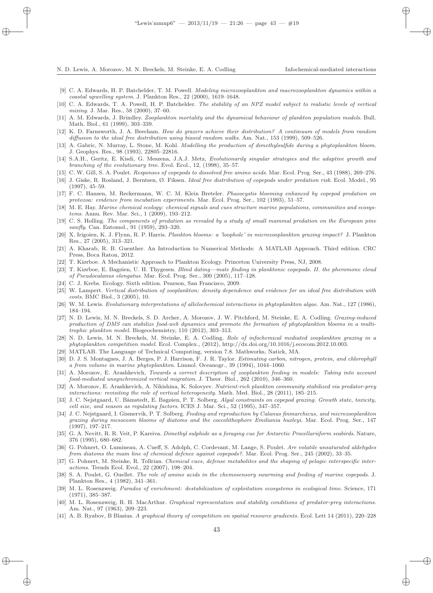- [9] C. A. Edwards, H. P. Batchelder, T. M. Powell. Modeling microzooplankton and macrozooplankton dynamics within a coastal upwelling system. J. Plankton Res., 22 (2000), 1619–1648.
- [10] C. A. Edwards, T. A. Powell, H. P. Batchelder. The stability of an NPZ model subject to realistic levels of vertical mixing. J. Mar. Res., 58 (2000), 37–60.
- [11] A. M. Edwards, J. Brindley. Zooplankton mortality and the dynamical behaviour of plankton population models. Bull. Math. Biol., 61 (1999), 303–339.
- [12] K. D. Farnsworth, J. A. Beecham. How do grazers achieve their distribution? A continuum of models from random diffusion to the ideal free distribution using biased random walks. Am. Nat., 153 (1999), 509–526.
- [13] A. Gabric, N. Murray, L. Stone, M. Kohl. Modelling the production of dimethylsulfide during a phytoplankton bloom. J. Geophys. Res., 98 (1993), 22805–22816.
- [14] S.A.H., Geritz, E. Kisdi, G. Meszena, J.A.J. Metz, Evolutionarily singular strategies and the adaptive growth and branching of the evolutionary tree. Evol. Ecol., 12, (1998), 35–57.
- [15] C. W. Gill, S. A. Poulet. Responses of copepods to dissolved free amino acids. Mar. Ecol. Prog. Ser., 43 (1988), 269–276.
- [16] J. Giske, R. Rosland, J. Berntsen, Ø. Fiksen. Ideal free distribution of copepods under predation risk. Ecol. Model., 95 (1997), 45–59.
- [17] F. C. Hansen, M. Reckermann, W. C. M. Klein Breteler. Phaeocystis blooming enhanced by copepod predation on protozoa: evidence from incubation experiments. Mar. Ecol. Prog. Ser., 102 (1993), 51–57.
- [18] M. E. Hay. Marine chemical ecology: chemical signals and cues structure marine populations, communities and ecosystems. Annu. Rev. Mar. Sci., 1 (2009), 193–212.
- [19] C. S. Holling. The components of predation as revealed by a study of small mammal predation on the European pine sawfly. Can. Entomol., 91 (1959), 293–320.
- [20] X. Irigoien, K. J. Flynn, R. P. Harris. Plankton blooms: a 'loophole' in microzooplankton grazing impact? J. Plankton Res., 27 (2005), 313–321.
- [21] A. Kharab, R. B. Guenther. An Introduction to Numerical Methods: A MATLAB Approach. Third edition. CRC Press, Boca Raton, 2012.
- [22] T. Kiørboe. A Mechanistic Approach to Plankton Ecology. Princeton University Press, NJ, 2008.
- [23] T. Kiørboe, E. Bagøien, U. H. Thygesen. Blind dating—mate finding in planktonic copepods. II. the pheromone cloud of Pseudocalanus elongatus. Mar. Ecol. Prog. Ser., 300 (2005), 117–128.
- [24] C. J. Krebs. Ecology. Sixth edition. Pearson, San Francisco, 2009.
- [25] W. Lampert. Vertical distribution of zooplankton: density dependence and evidence for an ideal free distribution with costs. BMC Biol., 3 (2005), 10.
- [26] W. M. Lewis. Evolutionary interpretations of allelochemical interactions in phytoplankton algae. Am. Nat., 127 (1986), 184–194.
- [27] N. D. Lewis, M. N. Breckels, S. D. Archer, A. Morozov, J. W. Pitchford, M. Steinke, E. A. Codling. Grazing-induced production of DMS can stabilize food-web dynamics and promote the formation of phytoplankton blooms in a multitrophic plankton model. Biogeochemistry, 110 (2012), 303–313.
- [28] N. D. Lewis, M. N. Breckels, M. Steinke, E. A. Codling. Role of infochemical mediated zooplankton grazing in a phytoplankton competition model. Ecol. Complex., (2012), http://dx.doi.org/10.1016/j.ecocom.2012.10.003.
- [29] MATLAB. The Language of Technical Computing, version 7.8. Mathworks, Natick, MA.
- [30] D. J. S. Montagnes, J. A. Berges, P. J. Harrison, F. J. R. Taylor. Estimating carbon, nitrogen, protein, and chlorophyll a from volume in marine phytoplankton. Limnol. Oceanogr., 39 (1994), 1044–1060.
- [31] A. Morozov, E. Arashkevich, Towards a correct description of zooplankton feeding in models: Taking into account food-mediated unsynchronized vertical migration. J. Theor. Biol., 262 (2010), 346–360.
- [32] A. Morozov, E. Arashkevich, A. Nikishina, K. Solovyev. Nutrient-rich plankton community stabilized via predator-prey interactions: revisiting the role of vertical heterogeneity. Math. Med. Biol., 28 (2011), 185–215.
- [33] J. C. Nejstgaard, U. Båmstedt, E. Bagøien, P. T. Solberg. Algal constraints on copepod grazing. Growth state, toxicity, cell size, and season as regulating factors. ICES J. Mar. Sci., 52 (1995), 347–357.
- [34] J. C. Nejstgaard, I. Gismervik, P. T. Solberg. Feeding and reproduction by Calanus finmarchicus, and microzooplankton grazing during mesocosm blooms of diatoms and the coccolithophore Emiliania huxleyi. Mar. Ecol. Prog. Ser., 147 (1997), 197–217.
- [35] G. A. Nevitt, R. R. Veit, P. Kareiva. Dimethyl sulphide as a foraging cue for Antarctic Procellariiform seabirds. Nature, 376 (1995), 680–682.
- [36] G. Pohnert, O. Lumineau, A. Cueff, S. Adolph, C. Cordevant, M. Lange, S. Poulet. Are volatile unsaturated aldehydes from diatoms the main line of chemical defence against copepods?. Mar. Ecol. Prog. Ser., 245 (2002), 33–35.
- [37] G. Pohnert, M. Steinke, R. Tollrian. Chemical cues, defense metabolites and the shaping of pelagic interspecific interactions. Trends Ecol. Evol., 22 (2007), 198–204.
- [38] S. A. Poulet, G. Ouellet. The role of amino acids in the chemosensory swarming and feeding of marine copepods. J. Plankton Res., 4 (1982), 341–361.
- [39] M. L. Rosenzweig. Paradox of enrichment: destabilization of exploitation ecosystems in ecological time. Science, 171 (1971), 385–387.
- [40] M. L. Rosenzweig, R. H. MacArthur. Graphical representation and stability conditions of predator-prey interactions. Am. Nat., 97 (1963), 209–223.
- [41] A. B. Ryabov, B Blasius. A graphical theory of competition on spatial resource gradients. Ecol. Lett 14 (2011), 220–228